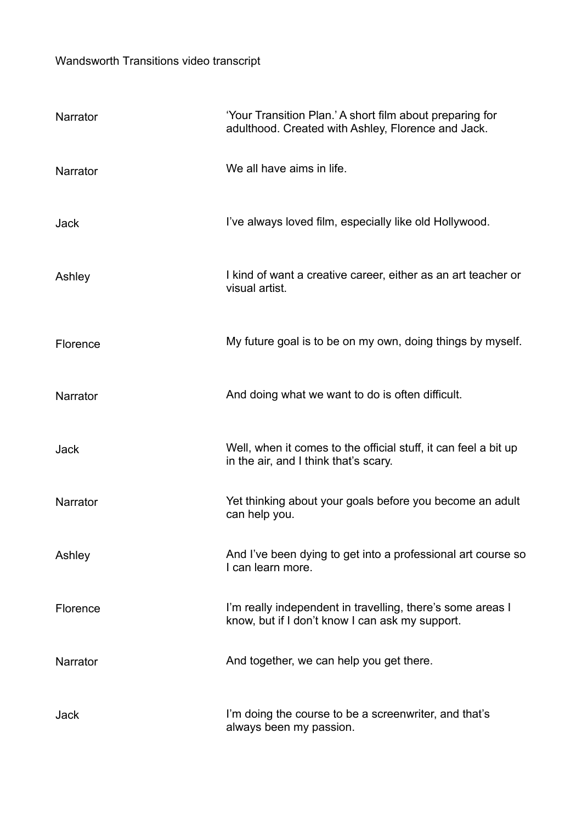## Wandsworth Transitions video transcript

| Narrator    | 'Your Transition Plan.' A short film about preparing for<br>adulthood. Created with Ashley, Florence and Jack. |
|-------------|----------------------------------------------------------------------------------------------------------------|
| Narrator    | We all have aims in life.                                                                                      |
| Jack        | I've always loved film, especially like old Hollywood.                                                         |
| Ashley      | I kind of want a creative career, either as an art teacher or<br>visual artist.                                |
| Florence    | My future goal is to be on my own, doing things by myself.                                                     |
| Narrator    | And doing what we want to do is often difficult.                                                               |
| <b>Jack</b> | Well, when it comes to the official stuff, it can feel a bit up<br>in the air, and I think that's scary.       |
| Narrator    | Yet thinking about your goals before you become an adult<br>can help you.                                      |
| Ashley      | And I've been dying to get into a professional art course so<br>I can learn more.                              |
| Florence    | I'm really independent in travelling, there's some areas I<br>know, but if I don't know I can ask my support.  |
| Narrator    | And together, we can help you get there.                                                                       |
| Jack        | I'm doing the course to be a screenwriter, and that's<br>always been my passion.                               |